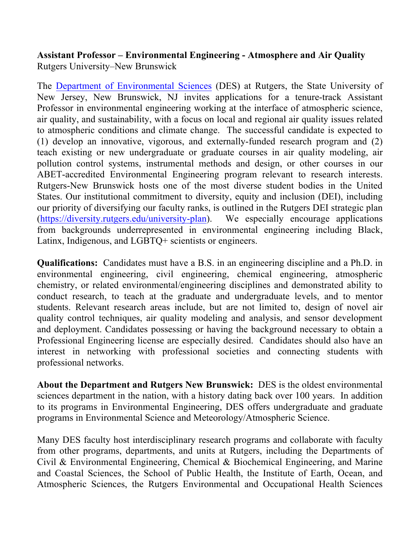## **Assistant Professor – Environmental Engineering - Atmosphere and Air Quality** Rutgers University–New Brunswick

The Department of Environmental Sciences (DES) at Rutgers, the State University of New Jersey, New Brunswick, NJ invites applications for a tenure-track Assistant Professor in environmental engineering working at the interface of atmospheric science, air quality, and sustainability, with a focus on local and regional air quality issues related to atmospheric conditions and climate change. The successful candidate is expected to (1) develop an innovative, vigorous, and externally-funded research program and (2) teach existing or new undergraduate or graduate courses in air quality modeling, air pollution control systems, instrumental methods and design, or other courses in our ABET-accredited Environmental Engineering program relevant to research interests. Rutgers-New Brunswick hosts one of the most diverse student bodies in the United States. Our institutional commitment to diversity, equity and inclusion (DEI), including our priority of diversifying our faculty ranks, is outlined in the Rutgers DEI strategic plan (https://diversity.rutgers.edu/university-plan). We especially encourage applications from backgrounds underrepresented in environmental engineering including Black, Latinx, Indigenous, and LGBTQ+ scientists or engineers.

**Qualifications:** Candidates must have a B.S. in an engineering discipline and a Ph.D. in environmental engineering, civil engineering, chemical engineering, atmospheric chemistry, or related environmental/engineering disciplines and demonstrated ability to conduct research, to teach at the graduate and undergraduate levels, and to mentor students. Relevant research areas include, but are not limited to, design of novel air quality control techniques, air quality modeling and analysis, and sensor development and deployment. Candidates possessing or having the background necessary to obtain a Professional Engineering license are especially desired. Candidates should also have an interest in networking with professional societies and connecting students with professional networks.

**About the Department and Rutgers New Brunswick:** DES is the oldest environmental sciences department in the nation, with a history dating back over 100 years. In addition to its programs in Environmental Engineering, DES offers undergraduate and graduate programs in Environmental Science and Meteorology/Atmospheric Science.

Many DES faculty host interdisciplinary research programs and collaborate with faculty from other programs, departments, and units at Rutgers, including the Departments of Civil & Environmental Engineering, Chemical & Biochemical Engineering, and Marine and Coastal Sciences, the School of Public Health, the Institute of Earth, Ocean, and Atmospheric Sciences, the Rutgers Environmental and Occupational Health Sciences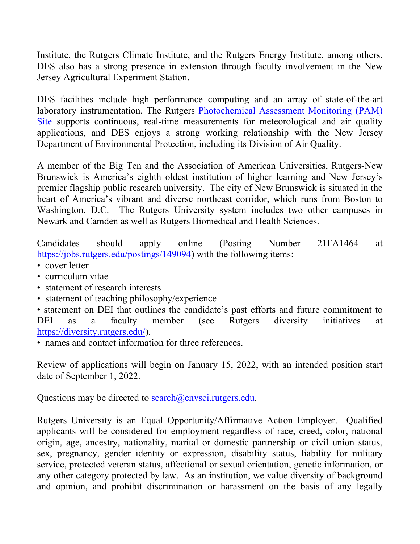Institute, the Rutgers Climate Institute, and the Rutgers Energy Institute, among others. DES also has a strong presence in extension through faculty involvement in the New Jersey Agricultural Experiment Station.

DES facilities include high performance computing and an array of state-of-the-art laboratory instrumentation. The Rutgers Photochemical Assessment Monitoring (PAM) Site supports continuous, real-time measurements for meteorological and air quality applications, and DES enjoys a strong working relationship with the New Jersey Department of Environmental Protection, including its Division of Air Quality.

A member of the Big Ten and the Association of American Universities, Rutgers-New Brunswick is America's eighth oldest institution of higher learning and New Jersey's premier flagship public research university. The city of New Brunswick is situated in the heart of America's vibrant and diverse northeast corridor, which runs from Boston to Washington, D.C. The Rutgers University system includes two other campuses in Newark and Camden as well as Rutgers Biomedical and Health Sciences.

Candidates should apply online (Posting Number 21FA1464 at https://jobs.rutgers.edu/postings/149094) with the following items:

- cover letter
- curriculum vitae
- statement of research interests
- statement of teaching philosophy/experience

• statement on DEI that outlines the candidate's past efforts and future commitment to DEI as a faculty member (see Rutgers diversity initiatives at https://diversity.rutgers.edu/).

• names and contact information for three references

Review of applications will begin on January 15, 2022, with an intended position start date of September 1, 2022.

Questions may be directed to search@envsci.rutgers.edu.

Rutgers University is an Equal Opportunity/Affirmative Action Employer. Qualified applicants will be considered for employment regardless of race, creed, color, national origin, age, ancestry, nationality, marital or domestic partnership or civil union status, sex, pregnancy, gender identity or expression, disability status, liability for military service, protected veteran status, affectional or sexual orientation, genetic information, or any other category protected by law. As an institution, we value diversity of background and opinion, and prohibit discrimination or harassment on the basis of any legally